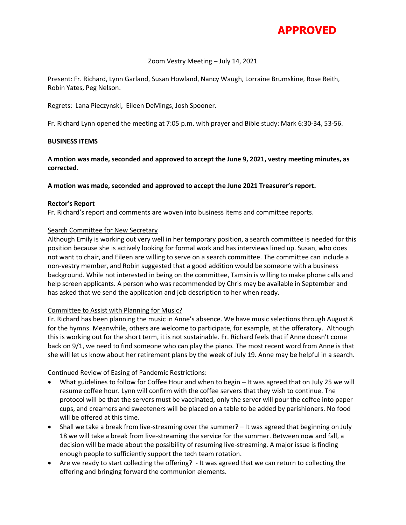

### Zoom Vestry Meeting – July 14, 2021

Present: Fr. Richard, Lynn Garland, Susan Howland, Nancy Waugh, Lorraine Brumskine, Rose Reith, Robin Yates, Peg Nelson.

Regrets: Lana Pieczynski, Eileen DeMings, Josh Spooner.

Fr. Richard Lynn opened the meeting at 7:05 p.m. with prayer and Bible study: Mark 6:30-34, 53-56.

### **BUSINESS ITEMS**

**A motion was made, seconded and approved to accept the June 9, 2021, vestry meeting minutes, as corrected.** 

### **A motion was made, seconded and approved to accept the June 2021 Treasurer's report.**

#### **Rector's Report**

Fr. Richard's report and comments are woven into business items and committee reports.

### Search Committee for New Secretary

Although Emily is working out very well in her temporary position, a search committee is needed for this position because she is actively looking for formal work and has interviews lined up. Susan, who does not want to chair, and Eileen are willing to serve on a search committee. The committee can include a non-vestry member, and Robin suggested that a good addition would be someone with a business background. While not interested in being on the committee, Tamsin is willing to make phone calls and help screen applicants. A person who was recommended by Chris may be available in September and has asked that we send the application and job description to her when ready.

# Committee to Assist with Planning for Music?

Fr. Richard has been planning the music in Anne's absence. We have music selections through August 8 for the hymns. Meanwhile, others are welcome to participate, for example, at the offeratory. Although this is working out for the short term, it is not sustainable. Fr. Richard feels that if Anne doesn't come back on 9/1, we need to find someone who can play the piano. The most recent word from Anne is that she will let us know about her retirement plans by the week of July 19. Anne may be helpful in a search.

# Continued Review of Easing of Pandemic Restrictions:

- What guidelines to follow for Coffee Hour and when to begin It was agreed that on July 25 we will resume coffee hour. Lynn will confirm with the coffee servers that they wish to continue. The protocol will be that the servers must be vaccinated, only the server will pour the coffee into paper cups, and creamers and sweeteners will be placed on a table to be added by parishioners. No food will be offered at this time.
- Shall we take a break from live-streaming over the summer? It was agreed that beginning on July 18 we will take a break from live-streaming the service for the summer. Between now and fall, a decision will be made about the possibility of resuming live-streaming. A major issue is finding enough people to sufficiently support the tech team rotation.
- Are we ready to start collecting the offering? It was agreed that we can return to collecting the offering and bringing forward the communion elements.